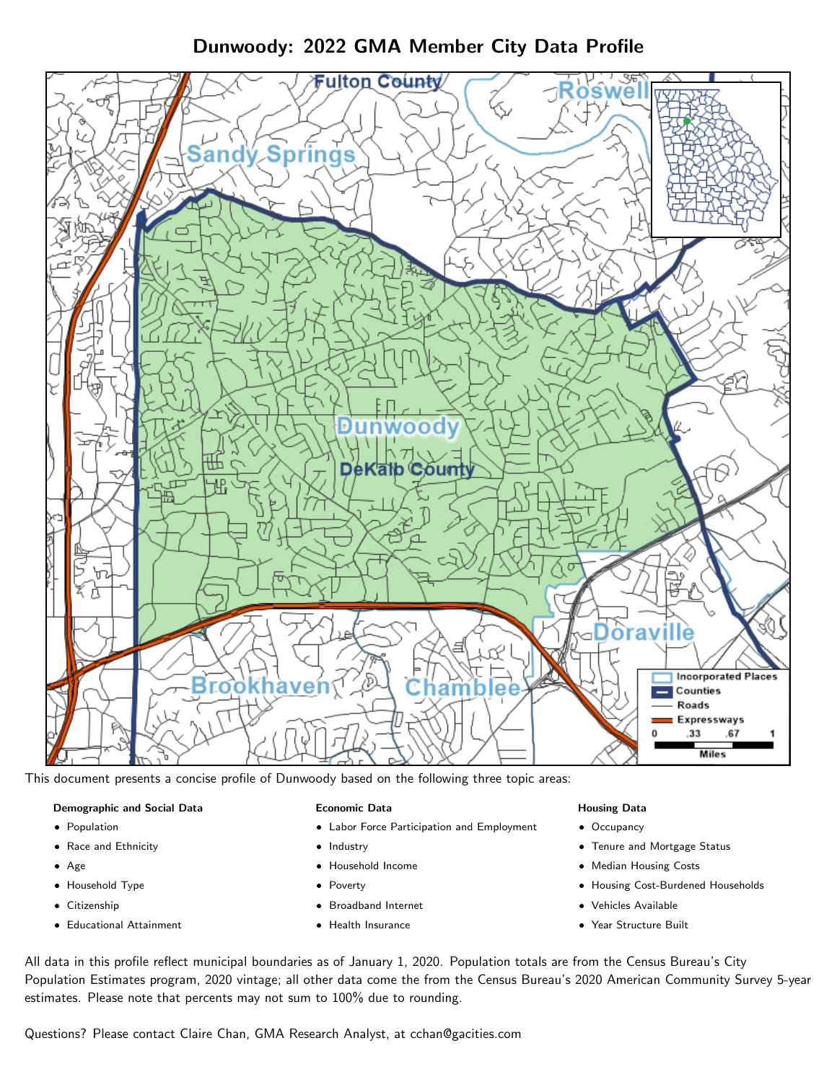# Dunwoody: 2022 GMA Member City Data Profile



This document presents a concise profile of Dunwoody based on the following three topic areas:

#### Demographic and Social Data

- **•** Population
- Race and Ethnicity
- Age
- Household Type
- **Citizenship**
- Educational Attainment

#### Economic Data

- Labor Force Participation and Employment
- Industry
- Household Income
- Poverty
- Broadband Internet
- Health Insurance

#### Housing Data

- Occupancy
- Tenure and Mortgage Status
- Median Housing Costs
- Housing Cost-Burdened Households
- Vehicles Available
- Year Structure Built

All data in this profile reflect municipal boundaries as of January 1, 2020. Population totals are from the Census Bureau's City Population Estimates program, 2020 vintage; all other data come the from the Census Bureau's 2020 American Community Survey 5-year estimates. Please note that percents may not sum to 100% due to rounding.

Questions? Please contact Claire Chan, GMA Research Analyst, at [cchan@gacities.com.](mailto:cchan@gacities.com)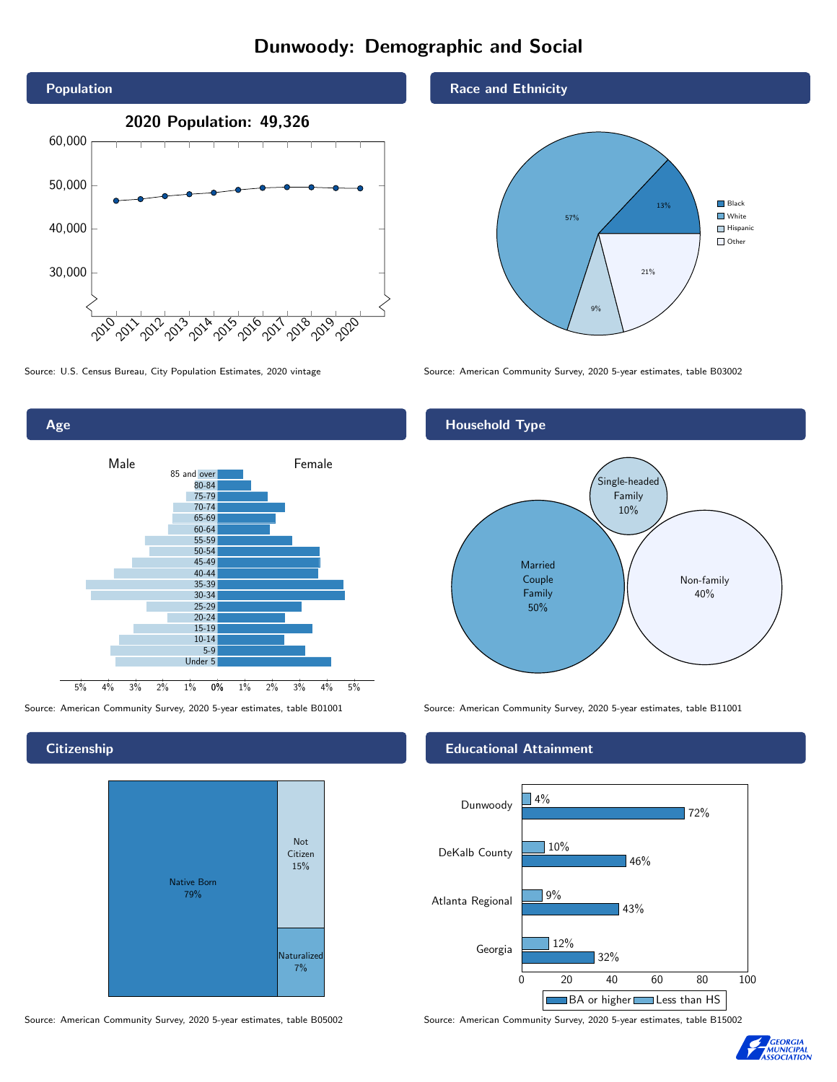## Dunwoody: Demographic and Social





**Citizenship** 



Race and Ethnicity



Source: U.S. Census Bureau, City Population Estimates, 2020 vintage Source: American Community Survey, 2020 5-year estimates, table B03002

## Household Type



Source: American Community Survey, 2020 5-year estimates, table B01001 Source: American Community Survey, 2020 5-year estimates, table B11001

### Educational Attainment



Source: American Community Survey, 2020 5-year estimates, table B05002 Source: American Community Survey, 2020 5-year estimates, table B15002

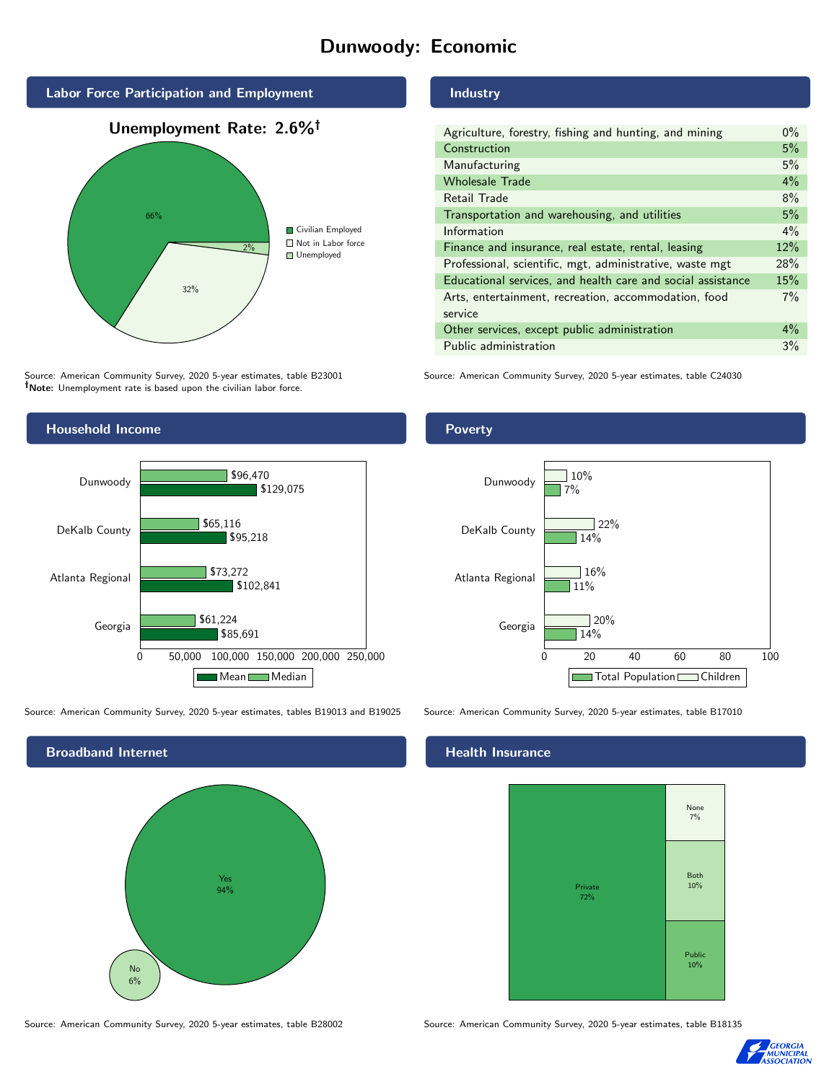## Dunwoody: Economic





Source: American Community Survey, 2020 5-year estimates, table B23001 Note: Unemployment rate is based upon the civilian labor force.



Source: American Community Survey, 2020 5-year estimates, tables B19013 and B19025 Source: American Community Survey, 2020 5-year estimates, table B17010



### Industry

| Agriculture, forestry, fishing and hunting, and mining      | $0\%$ |
|-------------------------------------------------------------|-------|
| Construction                                                | 5%    |
| Manufacturing                                               | 5%    |
| <b>Wholesale Trade</b>                                      | 4%    |
| Retail Trade                                                | 8%    |
| Transportation and warehousing, and utilities               | 5%    |
| Information                                                 | $4\%$ |
| Finance and insurance, real estate, rental, leasing         | 12%   |
| Professional, scientific, mgt, administrative, waste mgt    | 28%   |
| Educational services, and health care and social assistance | 15%   |
| Arts, entertainment, recreation, accommodation, food        | $7\%$ |
| service                                                     |       |
| Other services, except public administration                | $4\%$ |
| Public administration                                       | 3%    |

Source: American Community Survey, 2020 5-year estimates, table C24030

#### Poverty



#### Health Insurance